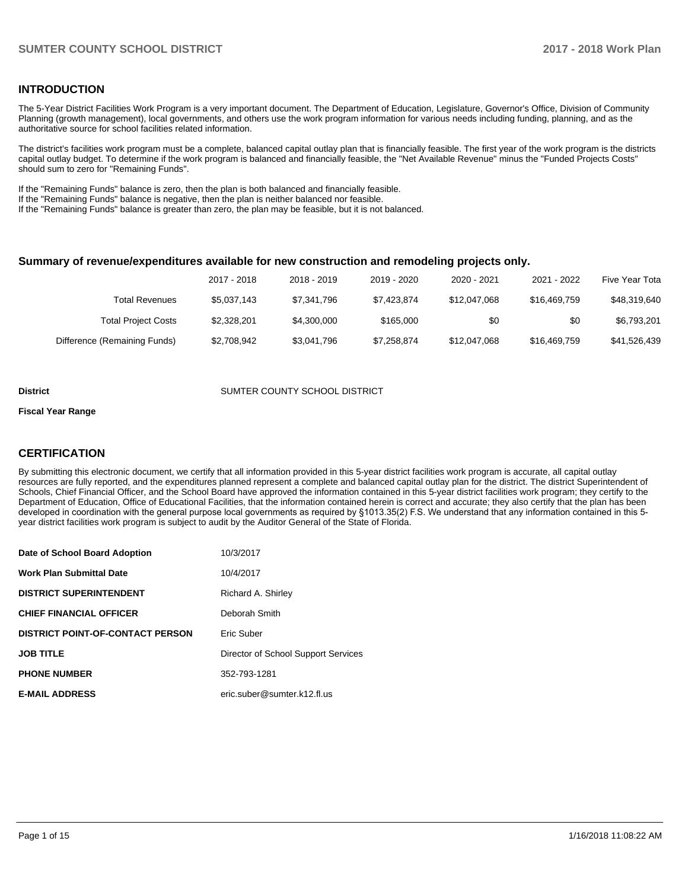## **INTRODUCTION**

The 5-Year District Facilities Work Program is a very important document. The Department of Education, Legislature, Governor's Office, Division of Community Planning (growth management), local governments, and others use the work program information for various needs including funding, planning, and as the authoritative source for school facilities related information.

The district's facilities work program must be a complete, balanced capital outlay plan that is financially feasible. The first year of the work program is the districts capital outlay budget. To determine if the work program is balanced and financially feasible, the "Net Available Revenue" minus the "Funded Projects Costs" should sum to zero for "Remaining Funds".

If the "Remaining Funds" balance is zero, then the plan is both balanced and financially feasible.

If the "Remaining Funds" balance is negative, then the plan is neither balanced nor feasible.

If the "Remaining Funds" balance is greater than zero, the plan may be feasible, but it is not balanced.

#### **Summary of revenue/expenditures available for new construction and remodeling projects only.**

|                              | 2017 - 2018 | 2018 - 2019 | 2019 - 2020 | 2020 - 2021  | 2021 - 2022  | Five Year Tota |
|------------------------------|-------------|-------------|-------------|--------------|--------------|----------------|
| Total Revenues               | \$5.037.143 | \$7.341.796 | \$7.423.874 | \$12,047,068 | \$16,469,759 | \$48.319.640   |
| <b>Total Project Costs</b>   | \$2.328.201 | \$4,300,000 | \$165,000   | \$0          | \$0          | \$6,793,201    |
| Difference (Remaining Funds) | \$2,708,942 | \$3,041,796 | \$7,258,874 | \$12,047,068 | \$16,469,759 | \$41,526,439   |

#### **District COUNTER COUNTY SCHOOL DISTRICT**

#### **Fiscal Year Range**

## **CERTIFICATION**

By submitting this electronic document, we certify that all information provided in this 5-year district facilities work program is accurate, all capital outlay resources are fully reported, and the expenditures planned represent a complete and balanced capital outlay plan for the district. The district Superintendent of Schools, Chief Financial Officer, and the School Board have approved the information contained in this 5-year district facilities work program; they certify to the Department of Education, Office of Educational Facilities, that the information contained herein is correct and accurate; they also certify that the plan has been developed in coordination with the general purpose local governments as required by §1013.35(2) F.S. We understand that any information contained in this 5year district facilities work program is subject to audit by the Auditor General of the State of Florida.

| Date of School Board Adoption           | 10/3/2017                           |
|-----------------------------------------|-------------------------------------|
| <b>Work Plan Submittal Date</b>         | 10/4/2017                           |
| <b>DISTRICT SUPERINTENDENT</b>          | Richard A. Shirley                  |
| <b>CHIEF FINANCIAL OFFICER</b>          | Deborah Smith                       |
| <b>DISTRICT POINT-OF-CONTACT PERSON</b> | Eric Suber                          |
| <b>JOB TITLE</b>                        | Director of School Support Services |
| <b>PHONE NUMBER</b>                     | 352-793-1281                        |
| <b>E-MAIL ADDRESS</b>                   | eric.suber@sumter.k12.fl.us         |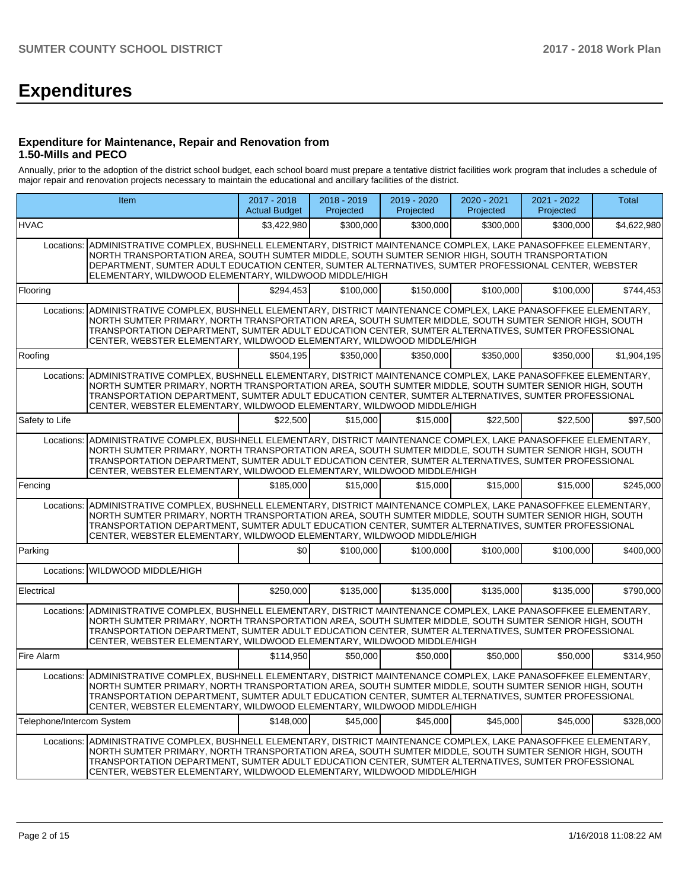# **Expenditures**

## **Expenditure for Maintenance, Repair and Renovation from 1.50-Mills and PECO**

Annually, prior to the adoption of the district school budget, each school board must prepare a tentative district facilities work program that includes a schedule of major repair and renovation projects necessary to maintain the educational and ancillary facilities of the district.

|                           | Item                                                                                                                                                                                                                                                                                                                                                                                                       | 2017 - 2018<br><b>Actual Budget</b> | 2018 - 2019<br>Projected | 2019 - 2020<br>Projected | 2020 - 2021<br>Projected | 2021 - 2022<br>Projected | Total       |  |  |  |  |
|---------------------------|------------------------------------------------------------------------------------------------------------------------------------------------------------------------------------------------------------------------------------------------------------------------------------------------------------------------------------------------------------------------------------------------------------|-------------------------------------|--------------------------|--------------------------|--------------------------|--------------------------|-------------|--|--|--|--|
| <b>HVAC</b>               |                                                                                                                                                                                                                                                                                                                                                                                                            | \$3,422,980                         | \$300,000                | \$300,000                | \$300,000                | \$300,000                | \$4,622,980 |  |  |  |  |
|                           | Locations: ADMINISTRATIVE COMPLEX, BUSHNELL ELEMENTARY, DISTRICT MAINTENANCE COMPLEX, LAKE PANASOFFKEE ELEMENTARY,<br>NORTH TRANSPORTATION AREA, SOUTH SUMTER MIDDLE, SOUTH SUMTER SENIOR HIGH, SOUTH TRANSPORTATION<br>DEPARTMENT, SUMTER ADULT EDUCATION CENTER, SUMTER ALTERNATIVES, SUMTER PROFESSIONAL CENTER, WEBSTER<br>ELEMENTARY, WILDWOOD ELEMENTARY, WILDWOOD MIDDLE/HIGH                       |                                     |                          |                          |                          |                          |             |  |  |  |  |
| Flooring                  |                                                                                                                                                                                                                                                                                                                                                                                                            | \$294,453                           | \$100,000                | \$150,000                | \$100,000                | \$100,000                | \$744,453   |  |  |  |  |
| Locations:                | ADMINISTRATIVE COMPLEX, BUSHNELL ELEMENTARY, DISTRICT MAINTENANCE COMPLEX, LAKE PANASOFFKEE ELEMENTARY,<br>NORTH SUMTER PRIMARY, NORTH TRANSPORTATION AREA, SOUTH SUMTER MIDDLE, SOUTH SUMTER SENIOR HIGH, SOUTH<br>TRANSPORTATION DEPARTMENT, SUMTER ADULT EDUCATION CENTER, SUMTER ALTERNATIVES, SUMTER PROFESSIONAL<br>CENTER, WEBSTER ELEMENTARY, WILDWOOD ELEMENTARY, WILDWOOD MIDDLE/HIGH            |                                     |                          |                          |                          |                          |             |  |  |  |  |
| Roofing                   |                                                                                                                                                                                                                                                                                                                                                                                                            | \$504,195                           | \$350,000                | \$350,000                | \$350.000                | \$350,000                | \$1,904,195 |  |  |  |  |
| Locations:                | ADMINISTRATIVE COMPLEX, BUSHNELL ELEMENTARY, DISTRICT MAINTENANCE COMPLEX, LAKE PANASOFFKEE ELEMENTARY,<br>NORTH SUMTER PRIMARY, NORTH TRANSPORTATION AREA, SOUTH SUMTER MIDDLE, SOUTH SUMTER SENIOR HIGH, SOUTH<br>TRANSPORTATION DEPARTMENT, SUMTER ADULT EDUCATION CENTER, SUMTER ALTERNATIVES, SUMTER PROFESSIONAL<br>CENTER, WEBSTER ELEMENTARY, WILDWOOD ELEMENTARY, WILDWOOD MIDDLE/HIGH            |                                     |                          |                          |                          |                          |             |  |  |  |  |
| Safety to Life            |                                                                                                                                                                                                                                                                                                                                                                                                            | \$22,500                            | \$15,000                 | \$15,000                 | \$22,500                 | \$22,500                 | \$97,500    |  |  |  |  |
| Locations:                | ADMINISTRATIVE COMPLEX, BUSHNELL ELEMENTARY, DISTRICT MAINTENANCE COMPLEX, LAKE PANASOFFKEE ELEMENTARY,<br>NORTH SUMTER PRIMARY, NORTH TRANSPORTATION AREA, SOUTH SUMTER MIDDLE, SOUTH SUMTER SENIOR HIGH, SOUTH<br>TRANSPORTATION DEPARTMENT, SUMTER ADULT EDUCATION CENTER, SUMTER ALTERNATIVES, SUMTER PROFESSIONAL<br>CENTER, WEBSTER ELEMENTARY, WILDWOOD ELEMENTARY, WILDWOOD MIDDLE/HIGH            |                                     |                          |                          |                          |                          |             |  |  |  |  |
| Fencing                   |                                                                                                                                                                                                                                                                                                                                                                                                            | \$185,000                           | \$15,000                 | \$15,000                 | \$15,000                 | \$15,000                 | \$245.000   |  |  |  |  |
| Locations:                | ADMINISTRATIVE COMPLEX, BUSHNELL ELEMENTARY, DISTRICT MAINTENANCE COMPLEX, LAKE PANASOFFKEE ELEMENTARY,<br>NORTH SUMTER PRIMARY, NORTH TRANSPORTATION AREA, SOUTH SUMTER MIDDLE, SOUTH SUMTER SENIOR HIGH, SOUTH<br>TRANSPORTATION DEPARTMENT, SUMTER ADULT EDUCATION CENTER, SUMTER ALTERNATIVES, SUMTER PROFESSIONAL<br>CENTER, WEBSTER ELEMENTARY, WILDWOOD ELEMENTARY, WILDWOOD MIDDLE/HIGH            |                                     |                          |                          |                          |                          |             |  |  |  |  |
| Parking                   |                                                                                                                                                                                                                                                                                                                                                                                                            | \$0                                 | \$100,000                | \$100,000                | \$100,000                | \$100,000                | \$400,000   |  |  |  |  |
| Locations:                | WILDWOOD MIDDLE/HIGH                                                                                                                                                                                                                                                                                                                                                                                       |                                     |                          |                          |                          |                          |             |  |  |  |  |
| Electrical                |                                                                                                                                                                                                                                                                                                                                                                                                            | \$250,000                           | \$135,000                | \$135,000                | \$135,000                | \$135,000                | \$790,000   |  |  |  |  |
| Locations:                | ADMINISTRATIVE COMPLEX, BUSHNELL ELEMENTARY, DISTRICT MAINTENANCE COMPLEX, LAKE PANASOFFKEE ELEMENTARY,<br>NORTH SUMTER PRIMARY, NORTH TRANSPORTATION AREA, SOUTH SUMTER MIDDLE, SOUTH SUMTER SENIOR HIGH, SOUTH<br>TRANSPORTATION DEPARTMENT, SUMTER ADULT EDUCATION CENTER, SUMTER ALTERNATIVES, SUMTER PROFESSIONAL<br>CENTER, WEBSTER ELEMENTARY, WILDWOOD ELEMENTARY, WILDWOOD MIDDLE/HIGH            |                                     |                          |                          |                          |                          |             |  |  |  |  |
| Fire Alarm                |                                                                                                                                                                                                                                                                                                                                                                                                            | \$114,950                           | \$50,000                 | \$50,000                 | \$50,000                 | \$50,000                 | \$314.950   |  |  |  |  |
|                           | Locations: ADMINISTRATIVE COMPLEX, BUSHNELL ELEMENTARY, DISTRICT MAINTENANCE COMPLEX, LAKE PANASOFFKEE ELEMENTARY,<br>NORTH SUMTER PRIMARY, NORTH TRANSPORTATION AREA, SOUTH SUMTER MIDDLE, SOUTH SUMTER SENIOR HIGH, SOUTH<br>TRANSPORTATION DEPARTMENT, SUMTER ADULT EDUCATION CENTER, SUMTER ALTERNATIVES, SUMTER PROFESSIONAL<br>CENTER, WEBSTER ELEMENTARY, WILDWOOD ELEMENTARY, WILDWOOD MIDDLE/HIGH |                                     |                          |                          |                          |                          |             |  |  |  |  |
| Telephone/Intercom System |                                                                                                                                                                                                                                                                                                                                                                                                            | \$148,000                           | \$45,000                 | \$45,000                 | \$45,000                 | \$45,000                 | \$328,000   |  |  |  |  |
| Locations:                | ADMINISTRATIVE COMPLEX, BUSHNELL ELEMENTARY, DISTRICT MAINTENANCE COMPLEX, LAKE PANASOFFKEE ELEMENTARY,<br>NORTH SUMTER PRIMARY, NORTH TRANSPORTATION AREA, SOUTH SUMTER MIDDLE, SOUTH SUMTER SENIOR HIGH, SOUTH<br>TRANSPORTATION DEPARTMENT, SUMTER ADULT EDUCATION CENTER, SUMTER ALTERNATIVES, SUMTER PROFESSIONAL<br>CENTER, WEBSTER ELEMENTARY, WILDWOOD ELEMENTARY, WILDWOOD MIDDLE/HIGH            |                                     |                          |                          |                          |                          |             |  |  |  |  |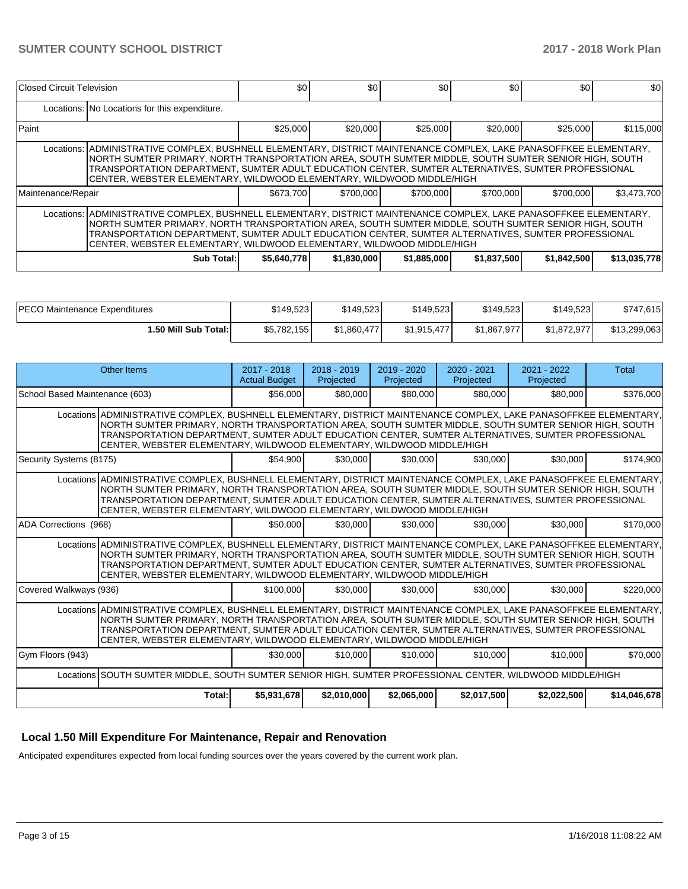| Closed Circuit Television |                                                                                                                                                                                                                                                                                                                                                                                                             | \$0         | \$0         | \$0         | \$0         | \$0         | \$0          |  |  |  |  |
|---------------------------|-------------------------------------------------------------------------------------------------------------------------------------------------------------------------------------------------------------------------------------------------------------------------------------------------------------------------------------------------------------------------------------------------------------|-------------|-------------|-------------|-------------|-------------|--------------|--|--|--|--|
|                           | Locations: No Locations for this expenditure.                                                                                                                                                                                                                                                                                                                                                               |             |             |             |             |             |              |  |  |  |  |
| Paint                     |                                                                                                                                                                                                                                                                                                                                                                                                             | \$25,000    | \$20,000    | \$25,000    | \$20,000    | \$25,000    | \$115,000    |  |  |  |  |
|                           | Locations: ADMINISTRATIVE COMPLEX, BUSHNELL ELEMENTARY, DISTRICT MAINTENANCE COMPLEX, LAKE PANASOFFKEE ELEMENTARY,<br>NORTH SUMTER PRIMARY, NORTH TRANSPORTATION AREA, SOUTH SUMTER MIDDLE, SOUTH SUMTER SENIOR HIGH, SOUTH<br>TRANSPORTATION DEPARTMENT. SUMTER ADULT EDUCATION CENTER. SUMTER ALTERNATIVES. SUMTER PROFESSIONAL<br>CENTER, WEBSTER ELEMENTARY, WILDWOOD ELEMENTARY, WILDWOOD MIDDLE/HIGH  |             |             |             |             |             |              |  |  |  |  |
| Maintenance/Repair        |                                                                                                                                                                                                                                                                                                                                                                                                             | \$673.700   | \$700,000   | \$700,000   | \$700,000   | \$700,000   | \$3,473,700  |  |  |  |  |
|                           | Locations:  ADMINISTRATIVE COMPLEX, BUSHNELL ELEMENTARY, DISTRICT MAINTENANCE COMPLEX, LAKE PANASOFFKEE ELEMENTARY,<br>NORTH SUMTER PRIMARY, NORTH TRANSPORTATION AREA, SOUTH SUMTER MIDDLE, SOUTH SUMTER SENIOR HIGH, SOUTH<br>TRANSPORTATION DEPARTMENT, SUMTER ADULT EDUCATION CENTER, SUMTER ALTERNATIVES, SUMTER PROFESSIONAL<br>CENTER, WEBSTER ELEMENTARY, WILDWOOD ELEMENTARY, WILDWOOD MIDDLE/HIGH |             |             |             |             |             |              |  |  |  |  |
|                           | Sub Total:                                                                                                                                                                                                                                                                                                                                                                                                  | \$5,640,778 | \$1,830,000 | \$1,885,000 | \$1,837,500 | \$1,842,500 | \$13,035,778 |  |  |  |  |

| <b>IPECO Maintenance Expenditures</b> | \$149,523   | \$149.523   | \$149.523   | \$149,523   | \$149,523   | \$747,615    |
|---------------------------------------|-------------|-------------|-------------|-------------|-------------|--------------|
| 1.50 Mill Sub Total:                  | \$5,782,155 | \$1.860.477 | \$1.915.477 | \$1,867,977 | \$1,872,977 | \$13,299,063 |

|                                | Other Items                                                                                                                                                                                                                                                                                                                                                                                               | $2017 - 2018$<br><b>Actual Budget</b> | $2018 - 2019$<br>Projected | $2019 - 2020$<br>Projected | $2020 - 2021$<br>Projected | $2021 - 2022$<br>Projected | <b>Total</b> |  |  |
|--------------------------------|-----------------------------------------------------------------------------------------------------------------------------------------------------------------------------------------------------------------------------------------------------------------------------------------------------------------------------------------------------------------------------------------------------------|---------------------------------------|----------------------------|----------------------------|----------------------------|----------------------------|--------------|--|--|
| School Based Maintenance (603) |                                                                                                                                                                                                                                                                                                                                                                                                           | \$56,000                              | \$80,000                   | \$80,000                   | \$80,000                   | \$80,000                   | \$376,000    |  |  |
|                                | Locations ADMINISTRATIVE COMPLEX, BUSHNELL ELEMENTARY, DISTRICT MAINTENANCE COMPLEX, LAKE PANASOFFKEE ELEMENTARY,<br>NORTH SUMTER PRIMARY, NORTH TRANSPORTATION AREA, SOUTH SUMTER MIDDLE, SOUTH SUMTER SENIOR HIGH, SOUTH<br>TRANSPORTATION DEPARTMENT, SUMTER ADULT EDUCATION CENTER, SUMTER ALTERNATIVES, SUMTER PROFESSIONAL<br>CENTER, WEBSTER ELEMENTARY, WILDWOOD ELEMENTARY, WILDWOOD MIDDLE/HIGH |                                       |                            |                            |                            |                            |              |  |  |
| Security Systems (8175)        |                                                                                                                                                                                                                                                                                                                                                                                                           | \$54.900                              | \$30,000                   | \$30,000                   | \$30,000                   | \$30,000                   | \$174,900    |  |  |
|                                | Locations ADMINISTRATIVE COMPLEX, BUSHNELL ELEMENTARY, DISTRICT MAINTENANCE COMPLEX, LAKE PANASOFFKEE ELEMENTARY,<br>NORTH SUMTER PRIMARY, NORTH TRANSPORTATION AREA, SOUTH SUMTER MIDDLE, SOUTH SUMTER SENIOR HIGH, SOUTH<br>TRANSPORTATION DEPARTMENT, SUMTER ADULT EDUCATION CENTER, SUMTER ALTERNATIVES, SUMTER PROFESSIONAL<br>CENTER, WEBSTER ELEMENTARY, WILDWOOD ELEMENTARY, WILDWOOD MIDDLE/HIGH |                                       |                            |                            |                            |                            |              |  |  |
| ADA Corrections (968)          |                                                                                                                                                                                                                                                                                                                                                                                                           | \$50,000                              | \$30,000                   | \$30,000                   | \$30,000                   | \$30,000                   | \$170,000    |  |  |
|                                | Locations ADMINISTRATIVE COMPLEX, BUSHNELL ELEMENTARY, DISTRICT MAINTENANCE COMPLEX, LAKE PANASOFFKEE ELEMENTARY,<br>NORTH SUMTER PRIMARY, NORTH TRANSPORTATION AREA, SOUTH SUMTER MIDDLE, SOUTH SUMTER SENIOR HIGH, SOUTH<br>TRANSPORTATION DEPARTMENT, SUMTER ADULT EDUCATION CENTER, SUMTER ALTERNATIVES, SUMTER PROFESSIONAL<br>CENTER, WEBSTER ELEMENTARY, WILDWOOD ELEMENTARY, WILDWOOD MIDDLE/HIGH |                                       |                            |                            |                            |                            |              |  |  |
| Covered Walkways (936)         |                                                                                                                                                                                                                                                                                                                                                                                                           | \$100,000                             | \$30,000                   | \$30,000                   | \$30,000                   | \$30,000                   | \$220,000    |  |  |
|                                | Locations ADMINISTRATIVE COMPLEX, BUSHNELL ELEMENTARY, DISTRICT MAINTENANCE COMPLEX, LAKE PANASOFFKEE ELEMENTARY,<br>NORTH SUMTER PRIMARY, NORTH TRANSPORTATION AREA, SOUTH SUMTER MIDDLE, SOUTH SUMTER SENIOR HIGH, SOUTH<br>TRANSPORTATION DEPARTMENT, SUMTER ADULT EDUCATION CENTER, SUMTER ALTERNATIVES, SUMTER PROFESSIONAL<br>CENTER, WEBSTER ELEMENTARY, WILDWOOD ELEMENTARY, WILDWOOD MIDDLE/HIGH |                                       |                            |                            |                            |                            |              |  |  |
| Gym Floors (943)               |                                                                                                                                                                                                                                                                                                                                                                                                           | \$30,000                              | \$10,000                   | \$10,000                   | \$10,000                   | \$10,000                   | \$70,000     |  |  |
|                                | Locations SOUTH SUMTER MIDDLE, SOUTH SUMTER SENIOR HIGH, SUMTER PROFESSIONAL CENTER, WILDWOOD MIDDLE/HIGH                                                                                                                                                                                                                                                                                                 |                                       |                            |                            |                            |                            |              |  |  |
|                                | Total:                                                                                                                                                                                                                                                                                                                                                                                                    | \$5,931,678                           | \$2,010,000                | \$2,065,000                | \$2,017,500                | \$2,022,500                | \$14,046,678 |  |  |

## **Local 1.50 Mill Expenditure For Maintenance, Repair and Renovation**

Anticipated expenditures expected from local funding sources over the years covered by the current work plan.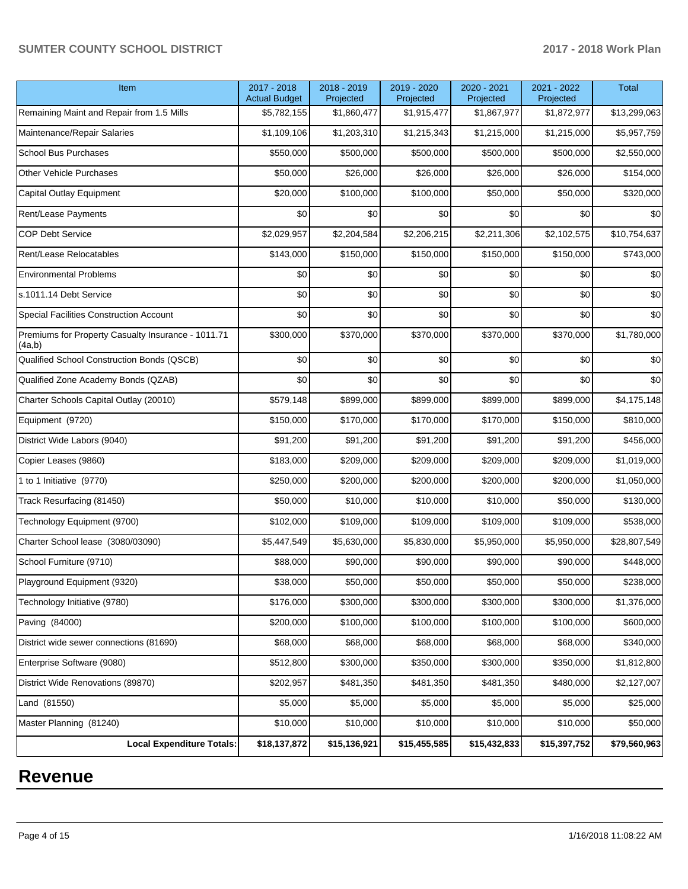| Item                                                         | 2017 - 2018<br><b>Actual Budget</b> | 2018 - 2019<br>Projected | 2019 - 2020<br>Projected | 2020 - 2021<br>Projected | 2021 - 2022<br>Projected | <b>Total</b> |
|--------------------------------------------------------------|-------------------------------------|--------------------------|--------------------------|--------------------------|--------------------------|--------------|
| Remaining Maint and Repair from 1.5 Mills                    | \$5,782,155                         | \$1,860,477              | \$1,915,477              | \$1,867,977              | \$1,872,977              | \$13,299,063 |
| Maintenance/Repair Salaries                                  | \$1,109,106                         | \$1,203,310              | \$1,215,343              | \$1,215,000              | \$1,215,000              | \$5,957,759  |
| <b>School Bus Purchases</b>                                  | \$550,000                           | \$500,000                | \$500,000                | \$500,000                | \$500,000                | \$2,550,000  |
| <b>Other Vehicle Purchases</b>                               | \$50,000                            | \$26,000                 | \$26,000                 | \$26,000                 | \$26,000                 | \$154,000    |
| Capital Outlay Equipment                                     | \$20,000                            | \$100,000                | \$100,000                | \$50,000                 | \$50,000                 | \$320,000    |
| Rent/Lease Payments                                          | \$0                                 | \$0                      | \$0                      | \$0                      | \$0                      | \$0          |
| <b>COP Debt Service</b>                                      | \$2,029,957                         | \$2,204,584              | \$2,206,215              | \$2,211,306              | \$2,102,575              | \$10,754,637 |
| Rent/Lease Relocatables                                      | \$143,000                           | \$150,000                | \$150,000                | \$150,000                | \$150,000                | \$743,000    |
| <b>Environmental Problems</b>                                | \$0                                 | \$0                      | \$0                      | \$0                      | \$0                      | \$0          |
| s.1011.14 Debt Service                                       | \$0                                 | \$0                      | \$0                      | \$0                      | \$0                      | \$0          |
| Special Facilities Construction Account                      | \$0                                 | \$0                      | \$0                      | \$0                      | \$0                      | \$0          |
| Premiums for Property Casualty Insurance - 1011.71<br>(4a,b) | \$300,000                           | \$370,000                | \$370,000                | \$370,000                | \$370,000                | \$1,780,000  |
| Qualified School Construction Bonds (QSCB)                   | \$0                                 | \$0                      | \$0                      | \$0                      | \$0                      | \$0          |
| Qualified Zone Academy Bonds (QZAB)                          | \$0                                 | \$0                      | \$0                      | \$0                      | \$0                      | \$0          |
| Charter Schools Capital Outlay (20010)                       | \$579,148                           | \$899,000                | \$899,000                | \$899,000                | \$899,000                | \$4,175,148  |
| Equipment (9720)                                             | \$150,000                           | \$170,000                | \$170,000                | \$170,000                | \$150,000                | \$810,000    |
| District Wide Labors (9040)                                  | \$91,200                            | \$91,200                 | \$91,200                 | \$91,200                 | \$91,200                 | \$456,000    |
| Copier Leases (9860)                                         | \$183,000                           | \$209,000                | \$209,000                | \$209,000                | \$209,000                | \$1,019,000  |
| 1 to 1 Initiative (9770)                                     | \$250,000                           | \$200,000                | \$200,000                | \$200,000                | \$200,000                | \$1,050,000  |
| Track Resurfacing (81450)                                    | \$50,000                            | \$10,000                 | \$10,000                 | \$10,000                 | \$50,000                 | \$130,000    |
| Technology Equipment (9700)                                  | \$102,000                           | \$109,000                | \$109,000                | \$109,000                | \$109,000                | \$538,000    |
| Charter School lease (3080/03090)                            | \$5,447,549                         | \$5,630,000              | \$5,830,000              | \$5,950,000              | \$5,950,000              | \$28,807,549 |
| School Furniture (9710)                                      | \$88,000                            | \$90,000                 | \$90,000                 | \$90,000                 | \$90,000                 | \$448,000    |
| Playground Equipment (9320)                                  | \$38,000                            | \$50,000                 | \$50,000                 | \$50,000                 | \$50,000                 | \$238,000    |
| Technology Initiative (9780)                                 | \$176,000                           | \$300,000                | \$300,000                | \$300,000                | \$300,000                | \$1,376,000  |
| Paving (84000)                                               | \$200,000                           | \$100,000                | \$100,000                | \$100,000                | \$100,000                | \$600,000    |
| District wide sewer connections (81690)                      | \$68,000                            | \$68,000                 | \$68,000                 | \$68,000                 | \$68,000                 | \$340,000    |
| Enterprise Software (9080)                                   | \$512,800                           | \$300,000                | \$350,000                | \$300,000                | \$350,000                | \$1,812,800  |
| District Wide Renovations (89870)                            | \$202,957                           | \$481,350                | \$481,350                | \$481,350                | \$480,000                | \$2,127,007  |
| Land (81550)                                                 | \$5,000                             | \$5,000                  | \$5,000                  | \$5,000                  | \$5,000                  | \$25,000     |
| Master Planning (81240)                                      | \$10,000                            | \$10,000                 | \$10,000                 | \$10,000                 | \$10,000                 | \$50,000     |
| <b>Local Expenditure Totals:</b>                             | \$18,137,872                        | \$15,136,921             | \$15,455,585             | \$15,432,833             | \$15,397,752             | \$79,560,963 |

# **Revenue**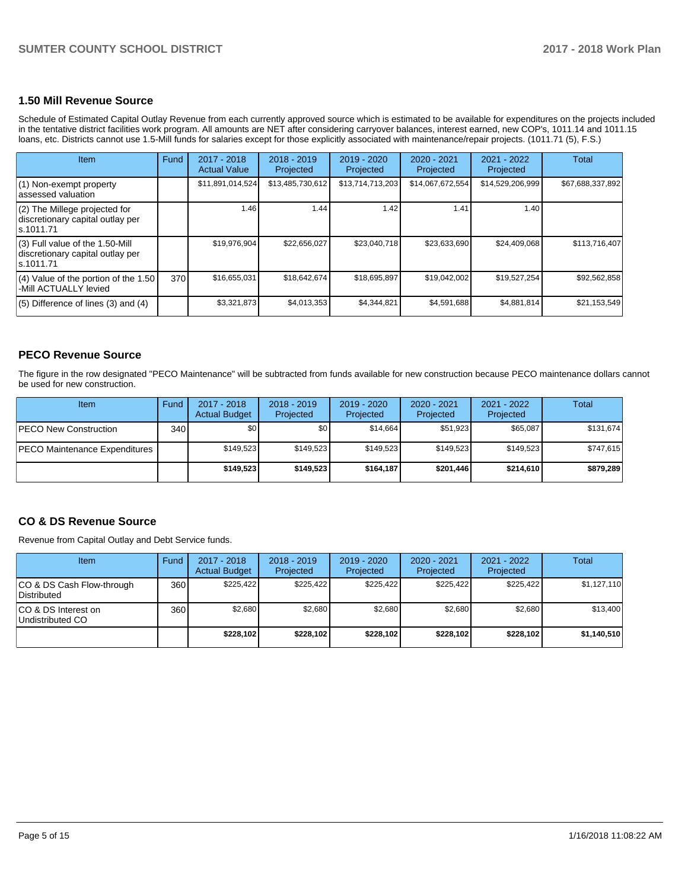## **1.50 Mill Revenue Source**

Schedule of Estimated Capital Outlay Revenue from each currently approved source which is estimated to be available for expenditures on the projects included in the tentative district facilities work program. All amounts are NET after considering carryover balances, interest earned, new COP's, 1011.14 and 1011.15 loans, etc. Districts cannot use 1.5-Mill funds for salaries except for those explicitly associated with maintenance/repair projects. (1011.71 (5), F.S.)

| <b>Item</b>                                                                         | Fund | 2017 - 2018<br><b>Actual Value</b> | $2018 - 2019$<br>Projected | $2019 - 2020$<br>Projected | $2020 - 2021$<br>Projected | 2021 - 2022<br>Projected | <b>Total</b>     |
|-------------------------------------------------------------------------------------|------|------------------------------------|----------------------------|----------------------------|----------------------------|--------------------------|------------------|
| (1) Non-exempt property<br>lassessed valuation                                      |      | \$11,891,014,524                   | \$13,485,730,612           | \$13.714.713.203           | \$14,067,672,554           | \$14,529,206,999         | \$67,688,337,892 |
| $(2)$ The Millege projected for<br>discretionary capital outlay per<br>ls.1011.71   |      | 1.46                               | 1.44                       | 1.42                       | 1.41                       | 1.40                     |                  |
| $(3)$ Full value of the 1.50-Mill<br>discretionary capital outlay per<br>ls.1011.71 |      | \$19,976,904                       | \$22,656,027               | \$23,040.718               | \$23,633,690               | \$24,409,068             | \$113.716.407    |
| $(4)$ Value of the portion of the 1.50<br>-Mill ACTUALLY levied                     | 370  | \$16,655,031                       | \$18,642,674               | \$18,695,897               | \$19,042,002               | \$19,527,254             | \$92,562,858     |
| $(5)$ Difference of lines $(3)$ and $(4)$                                           |      | \$3,321,873                        | \$4,013,353                | \$4,344,821                | \$4,591,688                | \$4,881,814              | \$21,153,549     |

## **PECO Revenue Source**

The figure in the row designated "PECO Maintenance" will be subtracted from funds available for new construction because PECO maintenance dollars cannot be used for new construction.

| Item                                 | Fund             | $2017 - 2018$<br><b>Actual Budget</b> | $2018 - 2019$<br>Projected | $2019 - 2020$<br>Projected | $2020 - 2021$<br>Projected | 2021 - 2022<br>Projected | Total     |
|--------------------------------------|------------------|---------------------------------------|----------------------------|----------------------------|----------------------------|--------------------------|-----------|
| <b>PECO New Construction</b>         | 340 <sup>1</sup> | \$0                                   | \$0                        | \$14.664                   | \$51.923                   | \$65.087                 | \$131.674 |
| <b>PECO Maintenance Expenditures</b> |                  | \$149,523                             | \$149,523                  | \$149.523                  | \$149.523                  | \$149.523                | \$747,615 |
|                                      |                  | \$149.523                             | \$149.523                  | \$164.187                  | \$201,446                  | \$214,610                | \$879,289 |

## **CO & DS Revenue Source**

Revenue from Capital Outlay and Debt Service funds.

| <b>Item</b>                              | Fund | $2017 - 2018$<br><b>Actual Budget</b> | $2018 - 2019$<br>Projected | 2019 - 2020<br>Projected | $2020 - 2021$<br>Projected | 2021 - 2022<br>Projected | Total       |
|------------------------------------------|------|---------------------------------------|----------------------------|--------------------------|----------------------------|--------------------------|-------------|
| CO & DS Cash Flow-through<br>Distributed | 360  | \$225.422                             | \$225.422                  | \$225.422                | \$225.422                  | \$225.422                | \$1,127,110 |
| ICO & DS Interest on<br>Undistributed CO | 360  | \$2.680                               | \$2.680                    | \$2.680                  | \$2.680                    | \$2,680                  | \$13,400    |
|                                          |      | \$228.102                             | \$228.102                  | \$228.102                | \$228.102                  | \$228.102                | \$1,140,510 |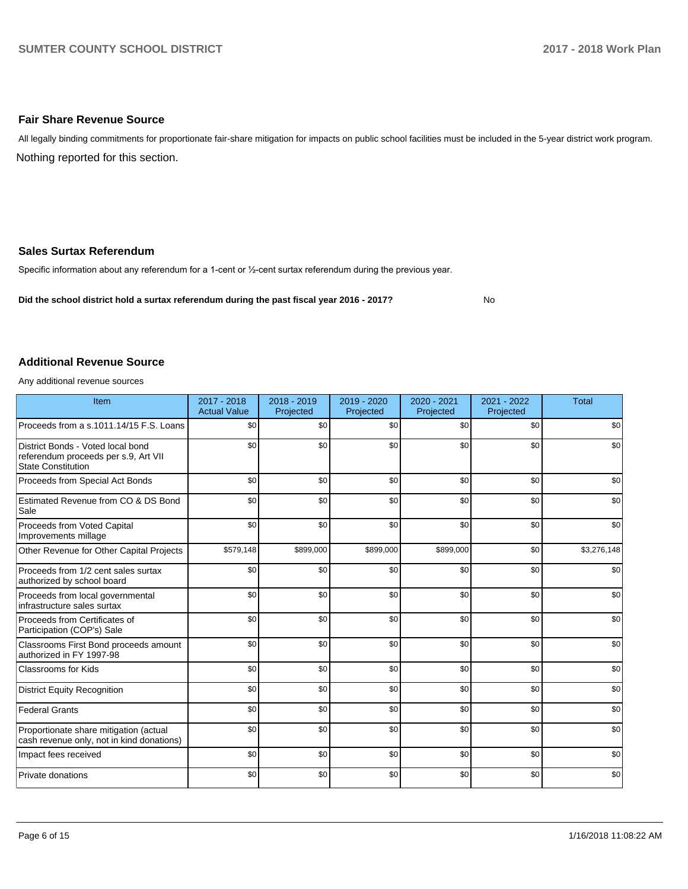## **Fair Share Revenue Source**

Nothing reported for this section. All legally binding commitments for proportionate fair-share mitigation for impacts on public school facilities must be included in the 5-year district work program.

## **Sales Surtax Referendum**

Specific information about any referendum for a 1-cent or 1/2-cent surtax referendum during the previous year.

**Did the school district hold a surtax referendum during the past fiscal year 2016 - 2017?**

No

#### **Additional Revenue Source**

Any additional revenue sources

| Item                                                                                                   | $2017 - 2018$<br><b>Actual Value</b> | $2018 - 2019$<br>Projected | 2019 - 2020<br>Projected | 2020 - 2021<br>Projected | 2021 - 2022<br>Projected | <b>Total</b> |
|--------------------------------------------------------------------------------------------------------|--------------------------------------|----------------------------|--------------------------|--------------------------|--------------------------|--------------|
| Proceeds from a s.1011.14/15 F.S. Loans                                                                | \$0                                  | \$0                        | \$0                      | \$0                      | \$0                      | \$0          |
| District Bonds - Voted local bond<br>referendum proceeds per s.9, Art VII<br><b>State Constitution</b> | \$0                                  | \$0                        | \$0                      | \$0                      | \$0                      | \$0          |
| Proceeds from Special Act Bonds                                                                        | \$0                                  | \$0                        | \$0                      | \$0                      | \$0                      | \$0          |
| Estimated Revenue from CO & DS Bond<br>Sale                                                            | \$0                                  | \$0                        | \$0                      | \$0                      | \$0                      | \$0          |
| Proceeds from Voted Capital<br>Improvements millage                                                    | \$0                                  | \$0                        | \$0                      | \$0                      | \$0                      | \$0          |
| Other Revenue for Other Capital Projects                                                               | \$579,148                            | \$899,000                  | \$899,000                | \$899,000                | \$0                      | \$3,276,148  |
| Proceeds from 1/2 cent sales surtax<br>authorized by school board                                      | \$0                                  | \$0                        | \$0                      | \$0                      | \$0                      | \$0          |
| Proceeds from local governmental<br>infrastructure sales surtax                                        | \$0                                  | \$0                        | \$0                      | \$0                      | \$0                      | \$0          |
| Proceeds from Certificates of<br>Participation (COP's) Sale                                            | \$0                                  | \$0                        | \$0                      | \$0                      | \$0                      | \$0          |
| Classrooms First Bond proceeds amount<br>authorized in FY 1997-98                                      | \$0                                  | \$0                        | \$0                      | \$0                      | \$0                      | \$0          |
| <b>Classrooms for Kids</b>                                                                             | \$0                                  | \$0                        | \$0                      | \$0                      | \$0                      | \$0          |
| <b>District Equity Recognition</b>                                                                     | \$0                                  | \$0                        | \$0                      | \$0                      | \$0                      | \$0          |
| <b>Federal Grants</b>                                                                                  | \$0                                  | \$0                        | \$0                      | \$0                      | \$0                      | \$0          |
| Proportionate share mitigation (actual<br>cash revenue only, not in kind donations)                    | \$0                                  | \$0                        | \$0                      | \$0                      | \$0                      | \$0          |
| Impact fees received                                                                                   | \$0                                  | \$0                        | \$0                      | \$0                      | \$0                      | \$0          |
| Private donations                                                                                      | \$0                                  | \$0                        | \$0                      | \$0                      | \$0                      | \$0          |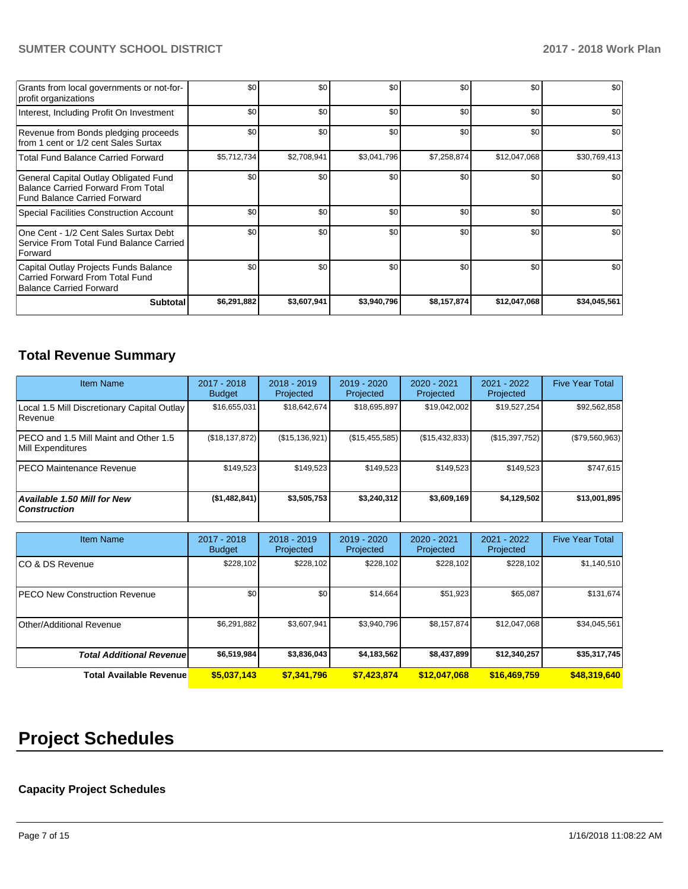| Grants from local governments or not-for-<br>profit organizations                                                         | \$0         | \$0              | \$0         | \$0         | \$0          | \$0          |
|---------------------------------------------------------------------------------------------------------------------------|-------------|------------------|-------------|-------------|--------------|--------------|
| Interest, Including Profit On Investment                                                                                  | \$0         | \$0 <sub>1</sub> | \$0         | \$0         | \$0          | \$0          |
| Revenue from Bonds pledging proceeds<br>from 1 cent or 1/2 cent Sales Surtax                                              | \$0         | \$0 <sub>1</sub> | \$0         | \$0         | \$0          | \$0          |
| <b>Total Fund Balance Carried Forward</b>                                                                                 | \$5,712,734 | \$2,708,941      | \$3,041,796 | \$7,258,874 | \$12,047,068 | \$30,769,413 |
| General Capital Outlay Obligated Fund<br><b>Balance Carried Forward From Total</b><br><b>Fund Balance Carried Forward</b> | \$0         | \$0 <sub>1</sub> | \$0         | \$0         | \$0          | \$0          |
| <b>Special Facilities Construction Account</b>                                                                            | \$0         | \$0 <sub>1</sub> | \$0         | \$0         | \$0          | \$0          |
| One Cent - 1/2 Cent Sales Surtax Debt<br>Service From Total Fund Balance Carried<br>Forward                               | \$0         | \$0 <sub>1</sub> | \$0         | \$0         | \$0          | \$0          |
| Capital Outlay Projects Funds Balance<br>Carried Forward From Total Fund<br><b>Balance Carried Forward</b>                | \$0         | \$0              | \$0         | \$0         | \$0          | \$0          |
| <b>Subtotal</b>                                                                                                           | \$6,291,882 | \$3,607,941      | \$3,940,796 | \$8,157,874 | \$12,047,068 | \$34,045,561 |

## **Total Revenue Summary**

| <b>Item Name</b>                                              | 2017 - 2018<br><b>Budget</b> | $2018 - 2019$<br>Projected | $2019 - 2020$<br>Projected | 2020 - 2021<br>Projected | 2021 - 2022<br>Projected | <b>Five Year Total</b> |
|---------------------------------------------------------------|------------------------------|----------------------------|----------------------------|--------------------------|--------------------------|------------------------|
| Local 1.5 Mill Discretionary Capital Outlay<br><b>Revenue</b> | \$16,655,031                 | \$18,642,674               | \$18,695,897               | \$19,042,002             | \$19,527,254             | \$92,562,858           |
| PECO and 1.5 Mill Maint and Other 1.5<br>Mill Expenditures    | (\$18, 137, 872)             | (\$15,136,921)             | (S15, 455, 585)            | (S15, 432, 833)          | (\$15,397,752)           | (\$79,560,963)         |
| <b>PECO Maintenance Revenue</b>                               | \$149.523                    | \$149,523                  | \$149.523                  | \$149.523                | \$149,523                | \$747,615              |
| Available 1.50 Mill for New<br><b>Construction</b>            | (\$1,482,841)                | \$3,505,753                | \$3,240,312                | \$3,609,169              | \$4,129,502              | \$13,001,895           |

| <b>Item Name</b>                      | 2017 - 2018<br><b>Budget</b> | $2018 - 2019$<br>Projected | $2019 - 2020$<br>Projected | 2020 - 2021<br>Projected | 2021 - 2022<br>Projected | <b>Five Year Total</b> |
|---------------------------------------|------------------------------|----------------------------|----------------------------|--------------------------|--------------------------|------------------------|
| ICO & DS Revenue                      | \$228,102                    | \$228,102                  | \$228,102                  | \$228,102                | \$228,102                | \$1,140,510            |
| <b>IPECO New Construction Revenue</b> | \$0                          | \$0                        | \$14,664                   | \$51,923                 | \$65,087                 | \$131,674              |
| Other/Additional Revenue              | \$6,291,882                  | \$3,607,941                | \$3,940,796                | \$8,157,874              | \$12,047,068             | \$34,045,561           |
| <b>Total Additional Revenuel</b>      | \$6,519,984                  | \$3,836,043                | \$4,183,562                | \$8,437,899              | \$12,340,257             | \$35,317,745           |
| <b>Total Available Revenue</b>        | \$5,037,143                  | \$7.341.796                | \$7.423.874                | \$12,047,068             | \$16,469,759             | \$48,319,640           |

# **Project Schedules**

## **Capacity Project Schedules**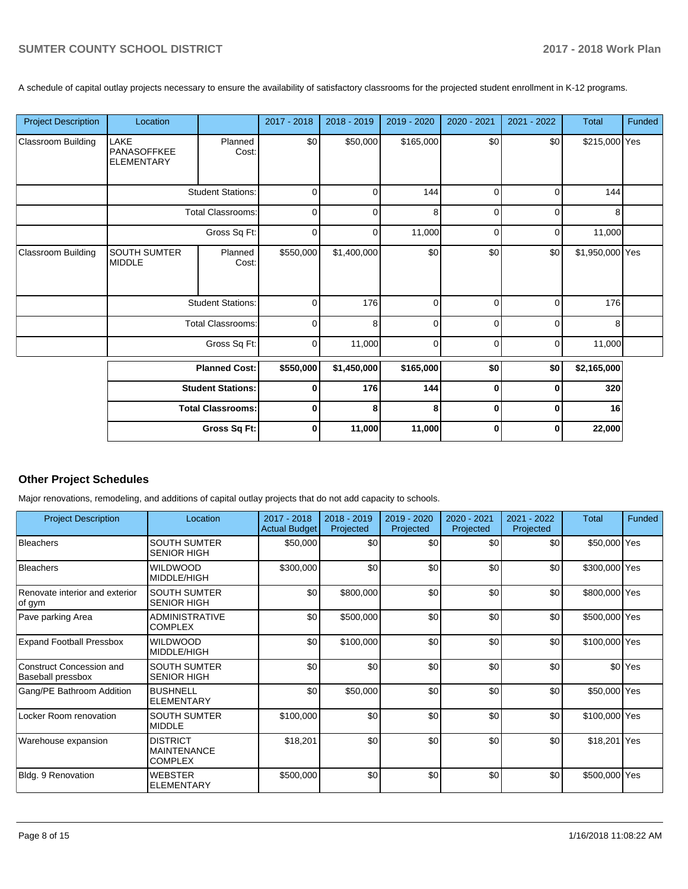A schedule of capital outlay projects necessary to ensure the availability of satisfactory classrooms for the projected student enrollment in K-12 programs.

| <b>Project Description</b> | Location                                        |                          | 2017 - 2018 | 2018 - 2019 | 2019 - 2020 | 2020 - 2021 | 2021 - 2022 | Total           | Funded |
|----------------------------|-------------------------------------------------|--------------------------|-------------|-------------|-------------|-------------|-------------|-----------------|--------|
| <b>Classroom Building</b>  | LAKE<br><b>PANASOFFKEE</b><br><b>ELEMENTARY</b> | Planned<br>Cost:         | \$0         | \$50,000    | \$165,000   | \$0         | \$0         | \$215,000 Yes   |        |
|                            |                                                 | <b>Student Stations:</b> | $\mathbf 0$ | $\Omega$    | 144         | $\mathbf 0$ | $\mathbf 0$ | 144             |        |
|                            |                                                 | <b>Total Classrooms:</b> | 0           | $\Omega$    | 8           | $\Omega$    | $\Omega$    | 8               |        |
|                            |                                                 | Gross Sq Ft:             | $\mathbf 0$ | 0           | 11,000      | 0           | 0           | 11,000          |        |
| Classroom Building         | <b>SOUTH SUMTER</b><br><b>MIDDLE</b>            | Planned<br>Cost:         | \$550,000   | \$1,400,000 | \$0         | \$0         | \$0         | \$1,950,000 Yes |        |
|                            |                                                 | <b>Student Stations:</b> | $\mathbf 0$ | 176         | $\Omega$    | 0           | $\Omega$    | 176             |        |
|                            |                                                 | <b>Total Classrooms:</b> | 0           | 8           | $\mathbf 0$ | $\mathbf 0$ | $\mathbf 0$ | 8               |        |
|                            |                                                 | Gross Sq Ft:             | $\mathbf 0$ | 11,000      | $\Omega$    | $\Omega$    | $\mathbf 0$ | 11,000          |        |
|                            | <b>Planned Cost:</b>                            |                          | \$550,000   | \$1,450,000 | \$165,000   | \$0         | \$0         | \$2,165,000     |        |
|                            | <b>Student Stations:</b>                        |                          | $\mathbf 0$ | 176         | 144         | $\bf{0}$    | $\bf{0}$    | 320             |        |
|                            | <b>Total Classrooms:</b>                        |                          | $\mathbf 0$ | 8           | 8           | $\bf{0}$    | $\bf{0}$    | 16              |        |
|                            |                                                 | Gross Sq Ft:             | $\mathbf 0$ | 11,000      | 11,000      | 0           | 0           | 22,000          |        |

## **Other Project Schedules**

Major renovations, remodeling, and additions of capital outlay projects that do not add capacity to schools.

| <b>Project Description</b>                    | Location                                                | 2017 - 2018<br><b>Actual Budget</b> | 2018 - 2019<br>Projected | $2019 - 2020$<br>Projected | 2020 - 2021<br>Projected | 2021 - 2022<br>Projected | <b>Total</b>  | Funded             |
|-----------------------------------------------|---------------------------------------------------------|-------------------------------------|--------------------------|----------------------------|--------------------------|--------------------------|---------------|--------------------|
| <b>Bleachers</b>                              | <b>SOUTH SUMTER</b><br><b>SENIOR HIGH</b>               | \$50,000                            | \$0                      | \$0                        | \$0                      | \$0                      | \$50,000 Yes  |                    |
| Bleachers                                     | <b>WILDWOOD</b><br>MIDDLE/HIGH                          | \$300,000                           | \$0                      | \$0                        | \$0                      | \$0                      | \$300,000 Yes |                    |
| Renovate interior and exterior<br>of gym      | <b>SOUTH SUMTER</b><br><b>SENIOR HIGH</b>               | \$0                                 | \$800,000                | \$0                        | \$0                      | \$0                      | \$800,000 Yes |                    |
| Pave parking Area                             | <b>ADMINISTRATIVE</b><br><b>COMPLEX</b>                 | \$0                                 | \$500,000                | \$0                        | \$0                      | \$0                      | \$500,000 Yes |                    |
| <b>Expand Football Pressbox</b>               | <b>WILDWOOD</b><br><b>MIDDLE/HIGH</b>                   | \$0                                 | \$100,000                | \$0                        | \$0                      | \$0                      | \$100,000 Yes |                    |
| Construct Concession and<br>Baseball pressbox | <b>SOUTH SUMTER</b><br><b>SENIOR HIGH</b>               | \$0                                 | \$0                      | \$0                        | \$0                      | \$0                      |               | \$0 <sup>Yes</sup> |
| Gang/PE Bathroom Addition                     | <b>BUSHNELL</b><br><b>ELEMENTARY</b>                    | \$0                                 | \$50,000                 | \$0                        | \$0                      | \$0                      | \$50,000 Yes  |                    |
| Locker Room renovation                        | <b>SOUTH SUMTER</b><br><b>MIDDLE</b>                    | \$100,000                           | \$0                      | \$0                        | \$0                      | \$0                      | \$100,000 Yes |                    |
| Warehouse expansion                           | <b>DISTRICT</b><br><b>MAINTENANCE</b><br><b>COMPLEX</b> | \$18,201                            | \$0                      | \$0                        | \$0                      | \$0                      | \$18,201 Yes  |                    |
| Bldg. 9 Renovation                            | <b>WEBSTER</b><br><b>ELEMENTARY</b>                     | \$500,000                           | \$0                      | \$0                        | \$0                      | \$0                      | \$500,000 Yes |                    |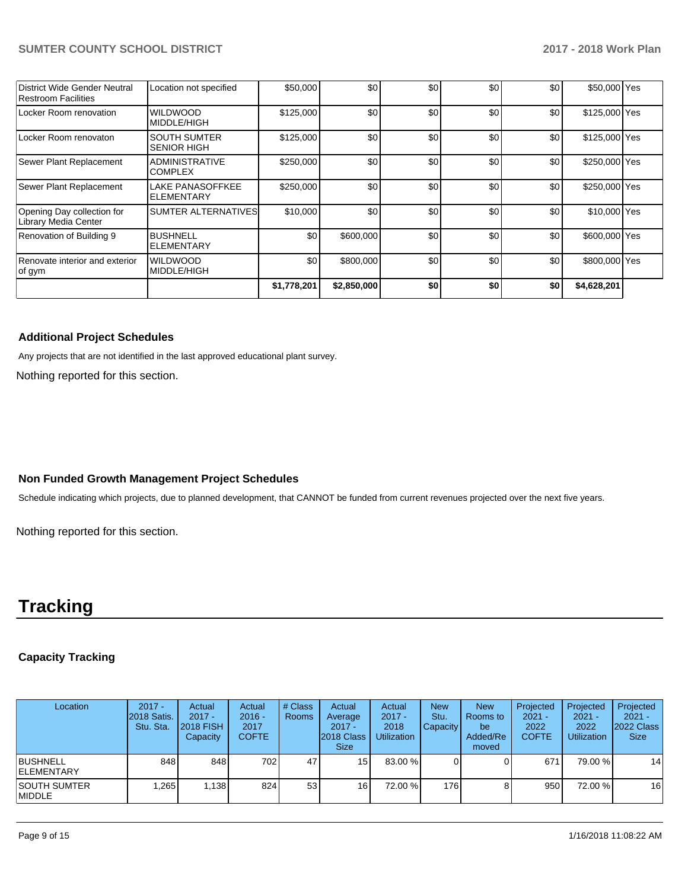| District Wide Gender Neutral<br>Restroom Facilities | Location not specified                    | \$50,000    | \$0         | \$0 | \$0 | \$0              | \$50,000 Yes  |  |
|-----------------------------------------------------|-------------------------------------------|-------------|-------------|-----|-----|------------------|---------------|--|
| Locker Room renovation                              | <b>WILDWOOD</b><br>MIDDLE/HIGH            | \$125,000   | \$0         | \$0 | \$0 | \$0 <sub>1</sub> | \$125,000 Yes |  |
| Locker Room renovaton                               | <b>SOUTH SUMTER</b><br><b>SENIOR HIGH</b> | \$125,000   | \$0         | \$0 | \$0 | \$0              | \$125,000 Yes |  |
| Sewer Plant Replacement                             | <b>ADMINISTRATIVE</b><br><b>COMPLEX</b>   | \$250,000   | \$0         | \$0 | \$0 | \$0 <sub>1</sub> | \$250,000 Yes |  |
| Sewer Plant Replacement                             | LAKE PANASOFFKEE<br><b>ELEMENTARY</b>     | \$250,000   | \$0         | \$0 | \$0 | \$0              | \$250,000 Yes |  |
| Opening Day collection for<br>Library Media Center  | <b>SUMTER ALTERNATIVES</b>                | \$10,000    | \$0         | \$0 | \$0 | \$0              | \$10,000 Yes  |  |
| Renovation of Building 9                            | <b>BUSHNELL</b><br><b>ELEMENTARY</b>      | \$0         | \$600,000   | \$0 | \$0 | \$0              | \$600,000 Yes |  |
| Renovate interior and exterior<br>of gym            | <b>WILDWOOD</b><br>MIDDLE/HIGH            | \$0         | \$800,000   | \$0 | \$0 | \$0              | \$800,000 Yes |  |
|                                                     |                                           | \$1,778,201 | \$2,850,000 | \$0 | \$0 | \$0              | \$4,628,201   |  |

## **Additional Project Schedules**

Any projects that are not identified in the last approved educational plant survey.

Nothing reported for this section.

## **Non Funded Growth Management Project Schedules**

Schedule indicating which projects, due to planned development, that CANNOT be funded from current revenues projected over the next five years.

Nothing reported for this section.

## **Tracking**

## **Capacity Tracking**

| Location                              | $2017 -$<br>2018 Satis.<br>Stu. Sta. | Actual<br>$2017 -$<br><b>2018 FISH</b><br>Capacity | Actual<br>$2016 -$<br>2017<br><b>COFTE</b> | # Class<br><b>Rooms</b> | Actual<br>Average<br>$2017 -$<br>2018 Class<br><b>Size</b> | Actual<br>$2017 -$<br>2018<br><b>Utilization</b> | <b>New</b><br>Stu.<br><b>Capacity</b> | <b>New</b><br>Rooms to<br>be<br>Added/Re<br>moved | Projected<br>$2021 -$<br>2022<br><b>COFTE</b> | Projected<br>$2021 -$<br>2022<br><b>Utilization</b> | Projected<br>$2021 -$<br>2022 Class<br><b>Size</b> |
|---------------------------------------|--------------------------------------|----------------------------------------------------|--------------------------------------------|-------------------------|------------------------------------------------------------|--------------------------------------------------|---------------------------------------|---------------------------------------------------|-----------------------------------------------|-----------------------------------------------------|----------------------------------------------------|
| <b>BUSHNELL</b><br><b>IELEMENTARY</b> | 848                                  | 848                                                | 702                                        | 47                      | 15 <sup>1</sup>                                            | 83.00 %                                          |                                       |                                                   | 671                                           | 79.00 %                                             | 14                                                 |
| ISOUTH SUMTER<br><b>IMIDDLE</b>       | .265                                 | 1,138                                              | 824                                        | 53                      | 16 <sup>1</sup>                                            | 72.00 %                                          | 176                                   |                                                   | 950                                           | 72.00 %                                             | 16                                                 |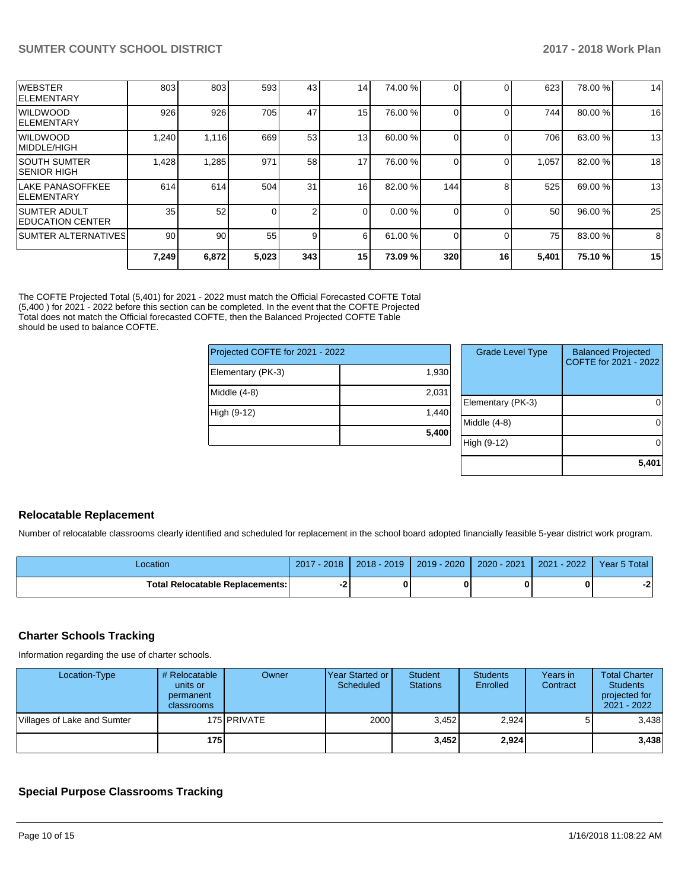| <b>WEBSTER</b><br><b>IELEMENTARY</b>            | 803   | 803   | 593   | 43  | 14 <sub>1</sub> | 74.00 % |     |    | 623   | 78.00 % | 14 |
|-------------------------------------------------|-------|-------|-------|-----|-----------------|---------|-----|----|-------|---------|----|
| WILDWOOD<br><b>ELEMENTARY</b>                   | 926   | 926   | 705   | 47  | 15 <sup>1</sup> | 76.00 % |     |    | 744   | 80.00 % | 16 |
| WILDWOOD<br> MIDDLE/HIGH                        | 1,240 | 1,116 | 669   | 53  | 13              | 60.00 % |     |    | 706   | 63.00 % | 13 |
| ISOUTH SUMTER<br>ISENIOR HIGH                   | 1,428 | .285  | 971   | 58  | 17              | 76.00 % |     |    | 1,057 | 82.00 % | 18 |
| lLAKE PANASOFFKEE<br><b>IELEMENTARY</b>         | 614   | 614   | 504   | 31  | 16 <sup>1</sup> | 82.00 % | 144 | 8  | 525   | 69.00 % | 13 |
| <b>SUMTER ADULT</b><br><b>IEDUCATION CENTER</b> | 35    | 52    |       | 2   |                 | 0.00%   |     |    | 50    | 96.00 % | 25 |
| ISUMTER ALTERNATIVES <b>I</b>                   | 90    | 90    | 55    | 9   | 6               | 61.00 % |     |    | 75    | 83.00 % | 8  |
|                                                 | 7,249 | 6,872 | 5,023 | 343 | 15 <sub>l</sub> | 73.09%  | 320 | 16 | 5,401 | 75.10 % | 15 |

The COFTE Projected Total (5,401) for 2021 - 2022 must match the Official Forecasted COFTE Total (5,400 ) for 2021 - 2022 before this section can be completed. In the event that the COFTE Projected Total does not match the Official forecasted COFTE, then the Balanced Projected COFTE Table should be used to balance COFTE.

| Projected COFTE for 2021 - 2022 |       |   |
|---------------------------------|-------|---|
| Elementary (PK-3)               | 1,930 |   |
| Middle $(4-8)$                  | 2,031 | F |
| High (9-12)                     | 1,440 | M |
|                                 | 5,400 | Н |

| <b>Grade Level Type</b> | <b>Balanced Projected</b><br>COFTE for 2021 - 2022 |
|-------------------------|----------------------------------------------------|
| Elementary (PK-3)       |                                                    |
| Middle $(4-8)$          |                                                    |
| High (9-12)             |                                                    |
|                         | 5,401                                              |

## **Relocatable Replacement**

Number of relocatable classrooms clearly identified and scheduled for replacement in the school board adopted financially feasible 5-year district work program.

| -ocation                         | 2017<br>$-2018$ | $2018 - 2019$ | 2019 - 2020 | 2020 - 2021 | $-2022$<br>2021 | Year 5 Total |
|----------------------------------|-----------------|---------------|-------------|-------------|-----------------|--------------|
| Total Relocatable Replacements:I | ◠               |               |             |             |                 | $-$          |

## **Charter Schools Tracking**

Information regarding the use of charter schools.

| Location-Type               | # Relocatable<br>units or<br>permanent<br>classrooms | Owner         | <b>Year Started or I</b><br>Scheduled | <b>Student</b><br><b>Stations</b> | <b>Students</b><br>Enrolled | Years in<br>Contract | <b>Total Charter</b><br><b>Students</b><br>projected for<br>2021 - 2022 |
|-----------------------------|------------------------------------------------------|---------------|---------------------------------------|-----------------------------------|-----------------------------|----------------------|-------------------------------------------------------------------------|
| Villages of Lake and Sumter |                                                      | 175 I PRIVATE | 2000                                  | 3.452                             | 2,924                       |                      | 3,438                                                                   |
|                             | 175 I                                                |               |                                       | 3,452                             | 2,924                       |                      | 3,438                                                                   |

## **Special Purpose Classrooms Tracking**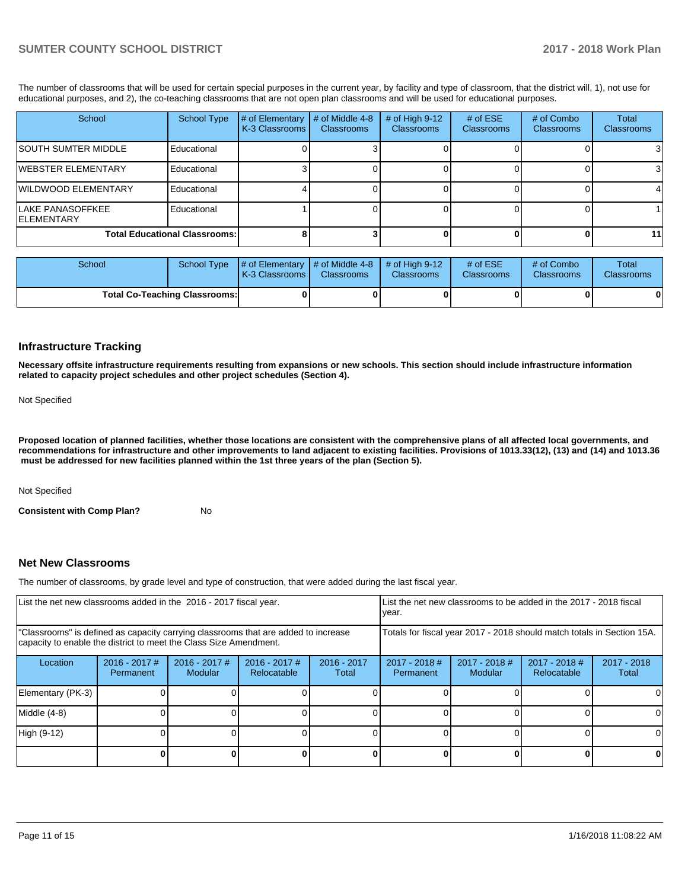The number of classrooms that will be used for certain special purposes in the current year, by facility and type of classroom, that the district will, 1), not use for educational purposes, and 2), the co-teaching classrooms that are not open plan classrooms and will be used for educational purposes.

| School                                 | School Type                          | # of Elementary<br>K-3 Classrooms | # of Middle 4-8<br><b>Classrooms</b> | # of High $9-12$<br><b>Classrooms</b> | # of $ESE$<br>Classrooms | # of Combo<br><b>Classrooms</b> | Total<br><b>Classrooms</b> |
|----------------------------------------|--------------------------------------|-----------------------------------|--------------------------------------|---------------------------------------|--------------------------|---------------------------------|----------------------------|
| ISOUTH SUMTER MIDDLE                   | Educational                          |                                   |                                      |                                       |                          |                                 |                            |
| <b>IWEBSTER ELEMENTARY</b>             | Educational                          |                                   |                                      |                                       |                          |                                 |                            |
| WILDWOOD ELEMENTARY                    | Educational                          |                                   |                                      |                                       |                          |                                 |                            |
| LAKE PANASOFFKEE<br><b>IELEMENTARY</b> | Educational                          |                                   |                                      |                                       |                          |                                 |                            |
|                                        | <b>Total Educational Classrooms:</b> |                                   |                                      |                                       |                          |                                 | 11 <sub>1</sub>            |

| School                               |  | School Type $\parallel \#$ of Elementary $\parallel \#$ of Middle 4-8 $\parallel \#$ of High 9-12<br><b>K-3 Classrooms I</b> | <b>Classrooms</b> | <b>Classrooms</b> | # of $ESE$<br><b>Classrooms</b> | # of Combo<br>Classrooms | Total<br><b>Classrooms</b> |
|--------------------------------------|--|------------------------------------------------------------------------------------------------------------------------------|-------------------|-------------------|---------------------------------|--------------------------|----------------------------|
| <b>Total Co-Teaching Classrooms:</b> |  |                                                                                                                              |                   |                   |                                 |                          | 0                          |

#### **Infrastructure Tracking**

**Necessary offsite infrastructure requirements resulting from expansions or new schools. This section should include infrastructure information related to capacity project schedules and other project schedules (Section 4).** 

Not Specified

**Proposed location of planned facilities, whether those locations are consistent with the comprehensive plans of all affected local governments, and recommendations for infrastructure and other improvements to land adjacent to existing facilities. Provisions of 1013.33(12), (13) and (14) and 1013.36** must be addressed for new facilities planned within the 1st three years of the plan (Section 5).

Not Specified

**Consistent with Comp Plan?** No

## **Net New Classrooms**

The number of classrooms, by grade level and type of construction, that were added during the last fiscal year.

| List the net new classrooms added in the 2016 - 2017 fiscal year.                                                                                       |                              |                                 |                                |                        | List the net new classrooms to be added in the 2017 - 2018 fiscal<br>year. |                          |                                |                        |
|---------------------------------------------------------------------------------------------------------------------------------------------------------|------------------------------|---------------------------------|--------------------------------|------------------------|----------------------------------------------------------------------------|--------------------------|--------------------------------|------------------------|
| "Classrooms" is defined as capacity carrying classrooms that are added to increase<br>capacity to enable the district to meet the Class Size Amendment. |                              |                                 |                                |                        | Totals for fiscal year 2017 - 2018 should match totals in Section 15A.     |                          |                                |                        |
| Location                                                                                                                                                | $2016 - 2017$ #<br>Permanent | 2016 - 2017 #<br><b>Modular</b> | $2016 - 2017$ #<br>Relocatable | $2016 - 2017$<br>Total | 2017 - 2018 #<br>Permanent                                                 | 2017 - 2018 #<br>Modular | $2017 - 2018$ #<br>Relocatable | $2017 - 2018$<br>Total |
| Elementary (PK-3)                                                                                                                                       |                              |                                 |                                |                        |                                                                            |                          |                                |                        |
| Middle (4-8)                                                                                                                                            |                              |                                 |                                |                        |                                                                            |                          |                                |                        |
| High (9-12)                                                                                                                                             |                              |                                 |                                |                        |                                                                            |                          |                                |                        |
|                                                                                                                                                         |                              |                                 |                                |                        |                                                                            |                          |                                |                        |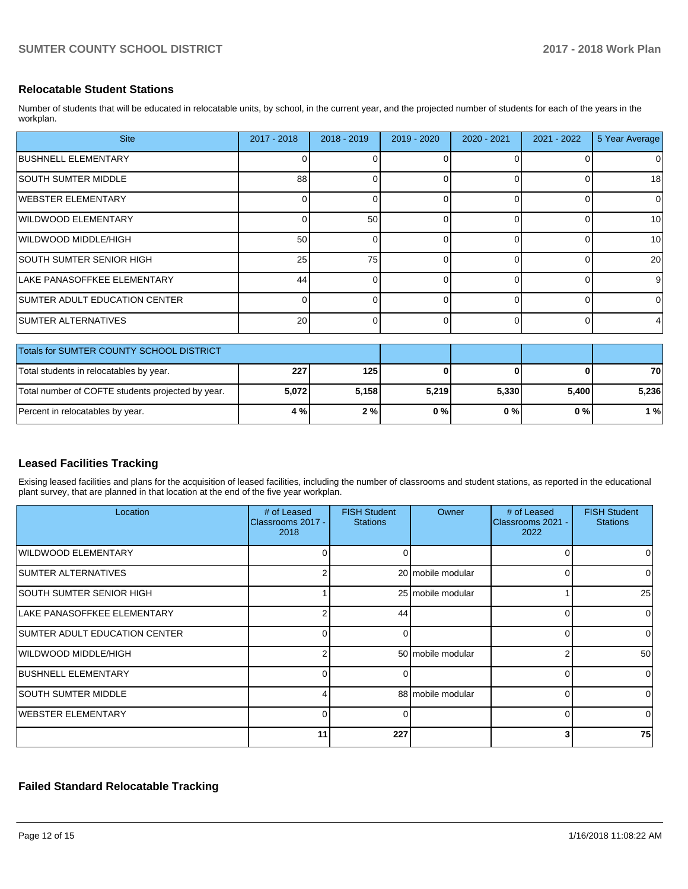## **Relocatable Student Stations**

Number of students that will be educated in relocatable units, by school, in the current year, and the projected number of students for each of the years in the workplan.

| <b>Site</b>                     | $2017 - 2018$ | $2018 - 2019$ | $2019 - 2020$ | 2020 - 2021 | $2021 - 2022$ | 5 Year Average |
|---------------------------------|---------------|---------------|---------------|-------------|---------------|----------------|
| <b>BUSHNELL ELEMENTARY</b>      |               |               |               |             | $\Omega$      | 0              |
| <b>SOUTH SUMTER MIDDLE</b>      | 88            |               |               |             | $\Omega$      | 18             |
| <b>WEBSTER ELEMENTARY</b>       |               |               |               |             | $\Omega$      | $\mathbf 0$    |
| <b>WILDWOOD ELEMENTARY</b>      |               | 50            |               |             | $\Omega$      | 10             |
| WILDWOOD MIDDLE/HIGH            | 50            |               |               |             | $\Omega$      | 10             |
| <b>SOUTH SUMTER SENIOR HIGH</b> | 25            | 75            |               |             | $\Omega$      | 20             |
| LAKE PANASOFFKEE ELEMENTARY     | 44            |               |               |             | $\Omega$      | 9              |
| SUMTER ADULT EDUCATION CENTER   |               |               |               |             | $\Omega$      | $\mathbf 0$    |
| <b>SUMTER ALTERNATIVES</b>      | 20            |               |               |             | $\Omega$      | 4              |

| Totals for SUMTER COUNTY SCHOOL DISTRICT          |       |       |       |       |       |       |
|---------------------------------------------------|-------|-------|-------|-------|-------|-------|
| Total students in relocatables by year.           | 227   | 125   |       |       |       | 70    |
| Total number of COFTE students projected by year. | 5,072 | 5.158 | 5,219 | 5.330 | 5.400 | 5.236 |
| Percent in relocatables by year.                  | 4 % l | 2%    | 0%    | 0%    | 0 % I | 1 %   |

## **Leased Facilities Tracking**

Exising leased facilities and plans for the acquisition of leased facilities, including the number of classrooms and student stations, as reported in the educational plant survey, that are planned in that location at the end of the five year workplan.

| Location                             | # of Leased<br>Classrooms 2017 -<br>2018 | <b>FISH Student</b><br><b>Stations</b> | Owner             | # of Leased<br>Classrooms 2021 -<br>2022 | <b>FISH Student</b><br><b>Stations</b> |
|--------------------------------------|------------------------------------------|----------------------------------------|-------------------|------------------------------------------|----------------------------------------|
| WILDWOOD ELEMENTARY                  |                                          | O                                      |                   | $\Omega$                                 |                                        |
| <b>SUMTER ALTERNATIVES</b>           |                                          |                                        | 20 mobile modular | 0                                        |                                        |
| SOUTH SUMTER SENIOR HIGH             |                                          |                                        | 25 mobile modular |                                          | 25                                     |
| LAKE PANASOFFKEE ELEMENTARY          |                                          | 44                                     |                   | 0                                        | $\Omega$                               |
| <b>SUMTER ADULT EDUCATION CENTER</b> |                                          | 0                                      |                   | 0                                        | 0                                      |
| WILDWOOD MIDDLE/HIGH                 |                                          |                                        | 50 mobile modular | $\overline{2}$                           | 50                                     |
| <b>BUSHNELL ELEMENTARY</b>           |                                          | <sup>0</sup>                           |                   | $\Omega$                                 | $\Omega$                               |
| <b>SOUTH SUMTER MIDDLE</b>           |                                          |                                        | 88 mobile modular | $\Omega$                                 | <sup>0</sup>                           |
| WEBSTER ELEMENTARY                   | <sup>0</sup>                             | 0                                      |                   | 0                                        | 0                                      |
|                                      | 11                                       | 227                                    |                   | 3                                        | 75                                     |

## **Failed Standard Relocatable Tracking**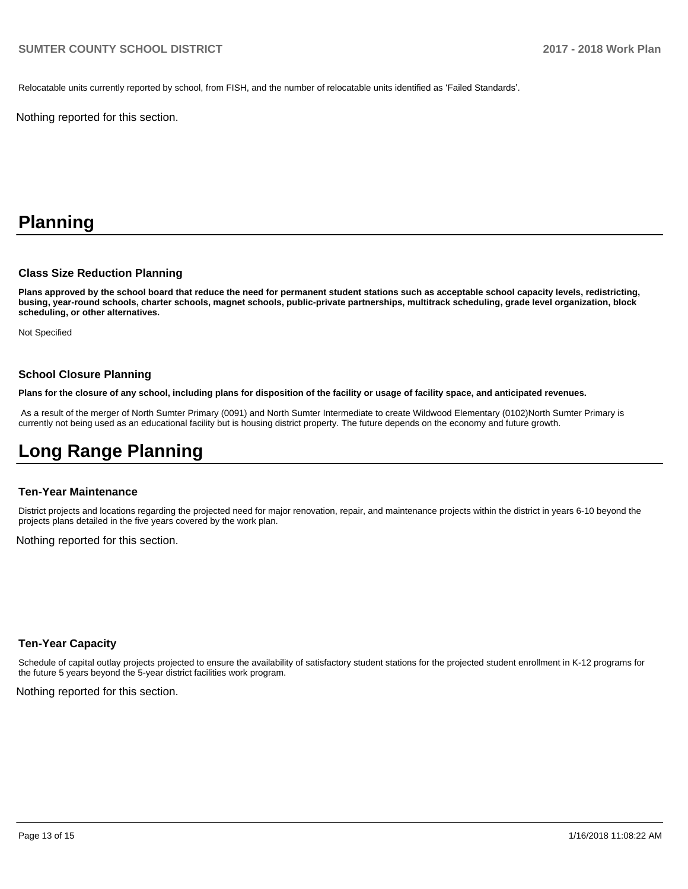Relocatable units currently reported by school, from FISH, and the number of relocatable units identified as 'Failed Standards'.

Nothing reported for this section.

# **Planning**

#### **Class Size Reduction Planning**

**Plans approved by the school board that reduce the need for permanent student stations such as acceptable school capacity levels, redistricting, busing, year-round schools, charter schools, magnet schools, public-private partnerships, multitrack scheduling, grade level organization, block scheduling, or other alternatives.**

Not Specified

## **School Closure Planning**

**Plans for the closure of any school, including plans for disposition of the facility or usage of facility space, and anticipated revenues.** 

 As a result of the merger of North Sumter Primary (0091) and North Sumter Intermediate to create Wildwood Elementary (0102)North Sumter Primary is currently not being used as an educational facility but is housing district property. The future depends on the economy and future growth.

## **Long Range Planning**

#### **Ten-Year Maintenance**

District projects and locations regarding the projected need for major renovation, repair, and maintenance projects within the district in years 6-10 beyond the projects plans detailed in the five years covered by the work plan.

Nothing reported for this section.

## **Ten-Year Capacity**

Schedule of capital outlay projects projected to ensure the availability of satisfactory student stations for the projected student enrollment in K-12 programs for the future 5 years beyond the 5-year district facilities work program.

Nothing reported for this section.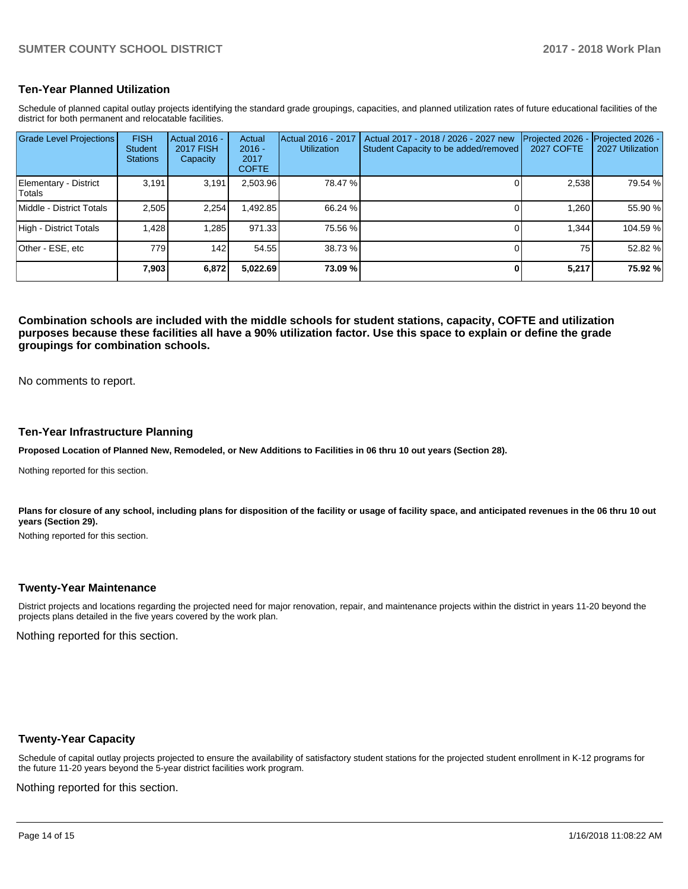## **Ten-Year Planned Utilization**

Schedule of planned capital outlay projects identifying the standard grade groupings, capacities, and planned utilization rates of future educational facilities of the district for both permanent and relocatable facilities.

| <b>Grade Level Projections</b>   | <b>FISH</b><br><b>Student</b><br><b>Stations</b> | <b>Actual 2016 -</b><br><b>2017 FISH</b><br>Capacity | Actual<br>$2016 -$<br>2017<br><b>COFTE</b> | Actual 2016 - 2017<br><b>Utilization</b> | Actual 2017 - 2018 / 2026 - 2027 new<br>Student Capacity to be added/removed | Projected 2026<br><b>2027 COFTE</b> | Projected 2026 -<br>2027 Utilization |
|----------------------------------|--------------------------------------------------|------------------------------------------------------|--------------------------------------------|------------------------------------------|------------------------------------------------------------------------------|-------------------------------------|--------------------------------------|
| Elementary - District<br>lTotals | 3.191                                            | 3.191                                                | 2,503.96                                   | 78.47 %                                  |                                                                              | 2,538                               | 79.54 %                              |
| Middle - District Totals         | 2.505                                            | 2.254                                                | ,492.85                                    | 66.24 %                                  |                                                                              | 1.260                               | 55.90 %                              |
| High - District Totals           | .428                                             | 1.285                                                | 971.33                                     | 75.56 %                                  |                                                                              | 1.344                               | 104.59 %                             |
| Other - ESE, etc                 | 779                                              | 142                                                  | 54.55                                      | 38.73 %                                  |                                                                              | 75                                  | 52.82 %                              |
|                                  | 7,903                                            | 6,872                                                | 5,022.69                                   | 73.09 %                                  |                                                                              | 5,217                               | 75.92 %                              |

**Combination schools are included with the middle schools for student stations, capacity, COFTE and utilization purposes because these facilities all have a 90% utilization factor. Use this space to explain or define the grade groupings for combination schools.** 

No comments to report.

#### **Ten-Year Infrastructure Planning**

**Proposed Location of Planned New, Remodeled, or New Additions to Facilities in 06 thru 10 out years (Section 28).**

Nothing reported for this section.

Plans for closure of any school, including plans for disposition of the facility or usage of facility space, and anticipated revenues in the 06 thru 10 out **years (Section 29).**

Nothing reported for this section.

## **Twenty-Year Maintenance**

District projects and locations regarding the projected need for major renovation, repair, and maintenance projects within the district in years 11-20 beyond the projects plans detailed in the five years covered by the work plan.

Nothing reported for this section.

## **Twenty-Year Capacity**

Schedule of capital outlay projects projected to ensure the availability of satisfactory student stations for the projected student enrollment in K-12 programs for the future 11-20 years beyond the 5-year district facilities work program.

Nothing reported for this section.